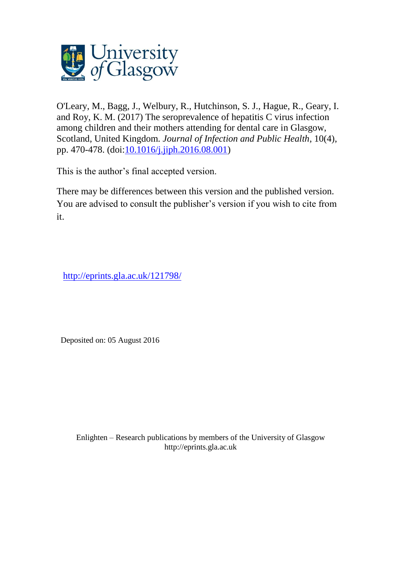

O'Leary, M., Bagg, J., Welbury, R., Hutchinson, S. J., Hague, R., Geary, I. and Roy, K. M. (2017) The seroprevalence of hepatitis C virus infection among children and their mothers attending for dental care in Glasgow, Scotland, United Kingdom. *Journal of Infection and Public Health*, 10(4), pp. 470-478. (doi[:10.1016/j.jiph.2016.08.001\)](http://dx.doi.org/10.1016/j.jiph.2016.08.001)

This is the author's final accepted version.

There may be differences between this version and the published version. You are advised to consult the publisher's version if you wish to cite from it.

<http://eprints.gla.ac.uk/121798/>

Deposited on: 05 August 2016

Enlighten – Research publications by members of the University of Glasgo[w](http://eprints.gla.ac.uk/) [http://eprints.gla.ac.uk](http://eprints.gla.ac.uk/)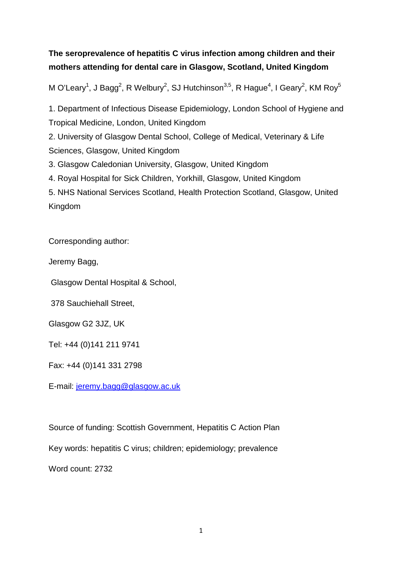# **The seroprevalence of hepatitis C virus infection among children and their mothers attending for dental care in Glasgow, Scotland, United Kingdom**

M O'Leary<sup>1</sup>, J Bagg<sup>2</sup>, R Welbury<sup>2</sup>, SJ Hutchinson<sup>3,5</sup>, R Hague<sup>4</sup>, I Geary<sup>2</sup>, KM Roy<sup>5</sup>

1. Department of Infectious Disease Epidemiology, London School of Hygiene and Tropical Medicine, London, United Kingdom

2. University of Glasgow Dental School, College of Medical, Veterinary & Life Sciences, Glasgow, United Kingdom

3. Glasgow Caledonian University, Glasgow, United Kingdom

4. Royal Hospital for Sick Children, Yorkhill, Glasgow, United Kingdom

5. NHS National Services Scotland, Health Protection Scotland, Glasgow, United Kingdom

Corresponding author:

Jeremy Bagg,

Glasgow Dental Hospital & School,

378 Sauchiehall Street,

Glasgow G2 3JZ, UK

Tel: +44 (0)141 211 9741

Fax: +44 (0)141 331 2798

E-mail: [jeremy.bagg@glasgow.ac.uk](mailto:jeremy.bagg@glasgow.ac.uk)

Source of funding: Scottish Government, Hepatitis C Action Plan

Key words: hepatitis C virus; children; epidemiology; prevalence

Word count: 2732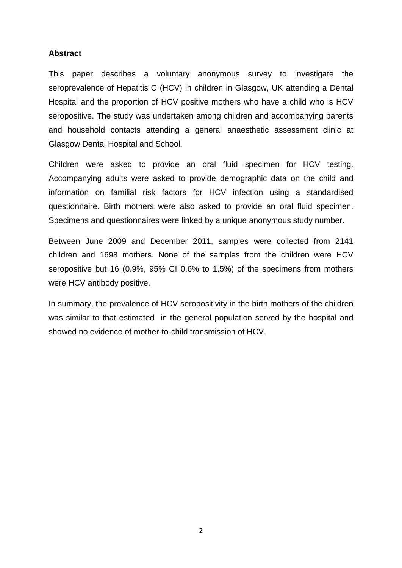# **Abstract**

This paper describes a voluntary anonymous survey to investigate the seroprevalence of Hepatitis C (HCV) in children in Glasgow, UK attending a Dental Hospital and the proportion of HCV positive mothers who have a child who is HCV seropositive. The study was undertaken among children and accompanying parents and household contacts attending a general anaesthetic assessment clinic at Glasgow Dental Hospital and School.

Children were asked to provide an oral fluid specimen for HCV testing. Accompanying adults were asked to provide demographic data on the child and information on familial risk factors for HCV infection using a standardised questionnaire. Birth mothers were also asked to provide an oral fluid specimen. Specimens and questionnaires were linked by a unique anonymous study number.

Between June 2009 and December 2011, samples were collected from 2141 children and 1698 mothers. None of the samples from the children were HCV seropositive but 16 (0.9%, 95% CI 0.6% to 1.5%) of the specimens from mothers were HCV antibody positive.

In summary, the prevalence of HCV seropositivity in the birth mothers of the children was similar to that estimated in the general population served by the hospital and showed no evidence of mother-to-child transmission of HCV.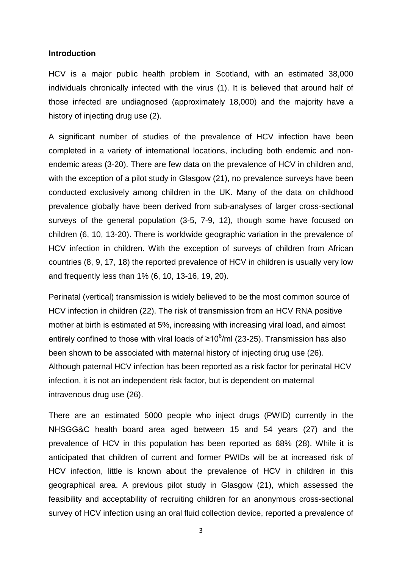### **Introduction**

HCV is a major public health problem in Scotland, with an estimated 38,000 individuals chronically infected with the virus [\(1\)](#page-15-0). It is believed that around half of those infected are undiagnosed (approximately 18,000) and the majority have a history of injecting drug use [\(2\)](#page-15-1).

A significant number of studies of the prevalence of HCV infection have been completed in a variety of international locations, including both endemic and nonendemic areas [\(3-20\)](#page-15-2). There are few data on the prevalence of HCV in children and, with the exception of a pilot study in Glasgow [\(21\)](#page-15-3), no prevalence surveys have been conducted exclusively among children in the UK. Many of the data on childhood prevalence globally have been derived from sub-analyses of larger cross-sectional surveys of the general population [\(3-5,](#page-15-2) [7-9,](#page-15-4) [12\)](#page-15-5), though some have focused on children [\(6,](#page-15-6) [10,](#page-15-7) [13-20\)](#page-15-8). There is worldwide geographic variation in the prevalence of HCV infection in children. With the exception of surveys of children from African countries [\(8,](#page-15-9) [9,](#page-15-10) [17,](#page-15-11) [18\)](#page-15-12) the reported prevalence of HCV in children is usually very low and frequently less than 1% [\(6,](#page-15-6) [10,](#page-15-7) [13-16,](#page-15-8) [19,](#page-15-13) [20\)](#page-15-14).

Perinatal (vertical) transmission is widely believed to be the most common source of HCV infection in children [\(22\)](#page-15-15). The risk of transmission from an HCV RNA positive mother at birth is estimated at 5%, increasing with increasing viral load, and almost entirely confined to those with viral loads of ≥10 $^6$ /ml [\(23-25\)](#page-15-16). Transmission has also been shown to be associated with maternal history of injecting drug use [\(26\)](#page-16-0). Although paternal HCV infection has been reported as a risk factor for perinatal HCV infection, it is not an independent risk factor, but is dependent on maternal intravenous drug use [\(26\)](#page-16-0).

There are an estimated 5000 people who inject drugs (PWID) currently in the NHSGG&C health board area aged between 15 and 54 years [\(27\)](#page-16-1) and the prevalence of HCV in this population has been reported as 68% [\(28\)](#page-16-2). While it is anticipated that children of current and former PWIDs will be at increased risk of HCV infection, little is known about the prevalence of HCV in children in this geographical area. A previous pilot study in Glasgow [\(21\)](#page-15-3), which assessed the feasibility and acceptability of recruiting children for an anonymous cross-sectional survey of HCV infection using an oral fluid collection device, reported a prevalence of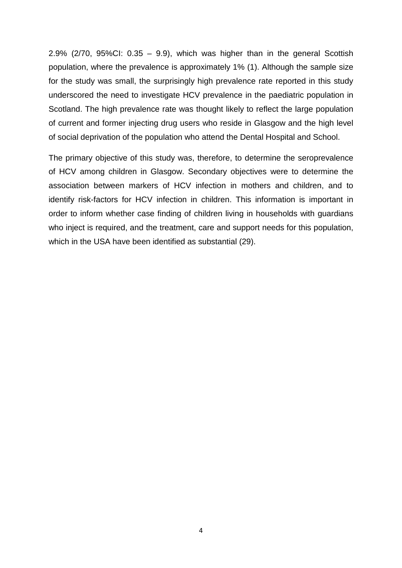2.9% ( $2/70$ ,  $95\%$ CI:  $0.35 - 9.9$ ), which was higher than in the general Scottish population, where the prevalence is approximately 1% [\(1\)](#page-15-0). Although the sample size for the study was small, the surprisingly high prevalence rate reported in this study underscored the need to investigate HCV prevalence in the paediatric population in Scotland. The high prevalence rate was thought likely to reflect the large population of current and former injecting drug users who reside in Glasgow and the high level of social deprivation of the population who attend the Dental Hospital and School.

The primary objective of this study was, therefore, to determine the seroprevalence of HCV among children in Glasgow. Secondary objectives were to determine the association between markers of HCV infection in mothers and children, and to identify risk-factors for HCV infection in children. This information is important in order to inform whether case finding of children living in households with guardians who inject is required, and the treatment, care and support needs for this population, which in the USA have been identified as substantial [\(29\)](#page-16-3).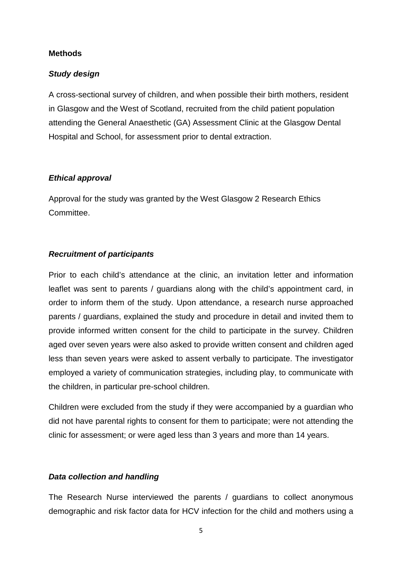# **Methods**

# *Study design*

A cross-sectional survey of children, and when possible their birth mothers, resident in Glasgow and the West of Scotland, recruited from the child patient population attending the General Anaesthetic (GA) Assessment Clinic at the Glasgow Dental Hospital and School, for assessment prior to dental extraction.

# *Ethical approval*

Approval for the study was granted by the West Glasgow 2 Research Ethics Committee.

### *Recruitment of participants*

Prior to each child's attendance at the clinic, an invitation letter and information leaflet was sent to parents / guardians along with the child's appointment card, in order to inform them of the study. Upon attendance, a research nurse approached parents / guardians, explained the study and procedure in detail and invited them to provide informed written consent for the child to participate in the survey. Children aged over seven years were also asked to provide written consent and children aged less than seven years were asked to assent verbally to participate. The investigator employed a variety of communication strategies, including play, to communicate with the children, in particular pre-school children.

Children were excluded from the study if they were accompanied by a guardian who did not have parental rights to consent for them to participate; were not attending the clinic for assessment; or were aged less than 3 years and more than 14 years.

# *Data collection and handling*

The Research Nurse interviewed the parents / guardians to collect anonymous demographic and risk factor data for HCV infection for the child and mothers using a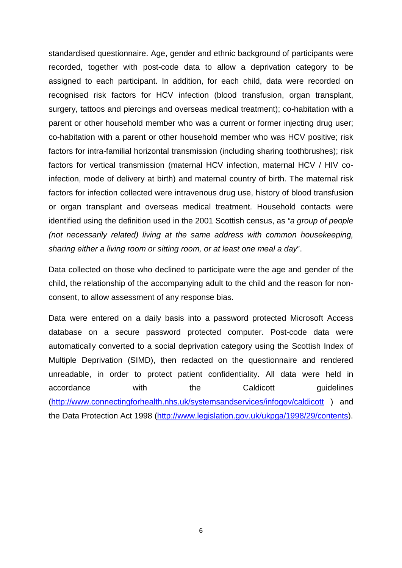standardised questionnaire. Age, gender and ethnic background of participants were recorded, together with post-code data to allow a deprivation category to be assigned to each participant. In addition, for each child, data were recorded on recognised risk factors for HCV infection (blood transfusion, organ transplant, surgery, tattoos and piercings and overseas medical treatment); co-habitation with a parent or other household member who was a current or former injecting drug user; co-habitation with a parent or other household member who was HCV positive; risk factors for intra-familial horizontal transmission (including sharing toothbrushes); risk factors for vertical transmission (maternal HCV infection, maternal HCV / HIV coinfection, mode of delivery at birth) and maternal country of birth. The maternal risk factors for infection collected were intravenous drug use, history of blood transfusion or organ transplant and overseas medical treatment. Household contacts were identified using the definition used in the 2001 Scottish census, as *"a group of people (not necessarily related) living at the same address with common housekeeping, sharing either a living room or sitting room, or at least one meal a day*".

Data collected on those who declined to participate were the age and gender of the child, the relationship of the accompanying adult to the child and the reason for nonconsent, to allow assessment of any response bias.

Data were entered on a daily basis into a password protected Microsoft Access database on a secure password protected computer. Post-code data were automatically converted to a social deprivation category using the Scottish Index of Multiple Deprivation (SIMD), then redacted on the questionnaire and rendered unreadable, in order to protect patient confidentiality. All data were held in accordance with the Caldicott guidelines [\(http://www.connectingforhealth.nhs.uk/systemsandservices/infogov/caldicott](http://www.connectingforhealth.nhs.uk/systemsandservices/infogov/caldicott) ) and the Data Protection Act 1998 [\(http://www.legislation.gov.uk/ukpga/1998/29/contents\)](http://www.legislation.gov.uk/ukpga/1998/29/contents).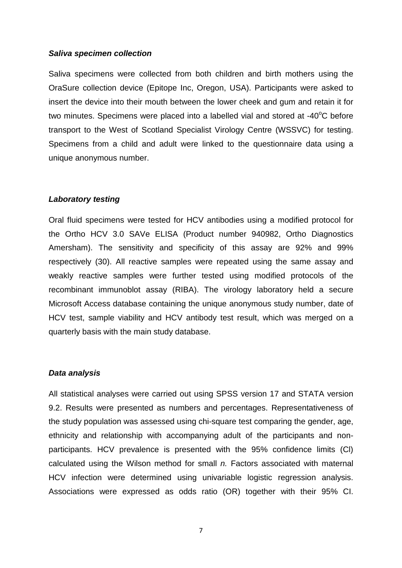#### *Saliva specimen collection*

Saliva specimens were collected from both children and birth mothers using the OraSure collection device (Epitope Inc, Oregon, USA). Participants were asked to insert the device into their mouth between the lower cheek and gum and retain it for two minutes. Specimens were placed into a labelled vial and stored at -40 $\mathrm{^{\circ}C}$  before transport to the West of Scotland Specialist Virology Centre (WSSVC) for testing. Specimens from a child and adult were linked to the questionnaire data using a unique anonymous number.

#### *Laboratory testing*

Oral fluid specimens were tested for HCV antibodies using a modified protocol for the Ortho HCV 3.0 SAVe ELISA (Product number 940982, Ortho Diagnostics Amersham). The sensitivity and specificity of this assay are 92% and 99% respectively [\(30\)](#page-16-4). All reactive samples were repeated using the same assay and weakly reactive samples were further tested using modified protocols of the recombinant immunoblot assay (RIBA). The virology laboratory held a secure Microsoft Access database containing the unique anonymous study number, date of HCV test, sample viability and HCV antibody test result, which was merged on a quarterly basis with the main study database.

#### *Data analysis*

All statistical analyses were carried out using SPSS version 17 and STATA version 9.2. Results were presented as numbers and percentages. Representativeness of the study population was assessed using chi-square test comparing the gender, age, ethnicity and relationship with accompanying adult of the participants and nonparticipants. HCV prevalence is presented with the 95% confidence limits (Cl) calculated using the Wilson method for small *n.* Factors associated with maternal HCV infection were determined using univariable logistic regression analysis. Associations were expressed as odds ratio (OR) together with their 95% CI.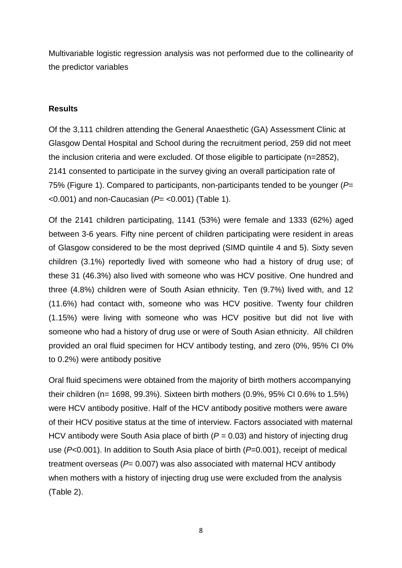Multivariable logistic regression analysis was not performed due to the collinearity of the predictor variables

# **Results**

Of the 3,111 children attending the General Anaesthetic (GA) Assessment Clinic at Glasgow Dental Hospital and School during the recruitment period, 259 did not meet the inclusion criteria and were excluded. Of those eligible to participate (n=2852), 2141 consented to participate in the survey giving an overall participation rate of 75% (Figure 1). Compared to participants, non-participants tended to be younger (*P*= <0.001) and non-Caucasian (*P*= <0.001) (Table 1).

Of the 2141 children participating, 1141 (53%) were female and 1333 (62%) aged between 3-6 years. Fifty nine percent of children participating were resident in areas of Glasgow considered to be the most deprived (SIMD quintile 4 and 5). Sixty seven children (3.1%) reportedly lived with someone who had a history of drug use; of these 31 (46.3%) also lived with someone who was HCV positive. One hundred and three (4.8%) children were of South Asian ethnicity. Ten (9.7%) lived with, and 12 (11.6%) had contact with, someone who was HCV positive. Twenty four children (1.15%) were living with someone who was HCV positive but did not live with someone who had a history of drug use or were of South Asian ethnicity. All children provided an oral fluid specimen for HCV antibody testing, and zero (0%, 95% CI 0% to 0.2%) were antibody positive

Oral fluid specimens were obtained from the majority of birth mothers accompanying their children (n= 1698, 99.3%). Sixteen birth mothers (0.9%, 95% CI 0.6% to 1.5%) were HCV antibody positive. Half of the HCV antibody positive mothers were aware of their HCV positive status at the time of interview. Factors associated with maternal HCV antibody were South Asia place of birth (*P =* 0.03) and history of injecting drug use (*P*<0.001). In addition to South Asia place of birth (*P*=0.001), receipt of medical treatment overseas ( $P= 0.007$ ) was also associated with maternal HCV antibody when mothers with a history of injecting drug use were excluded from the analysis (Table 2).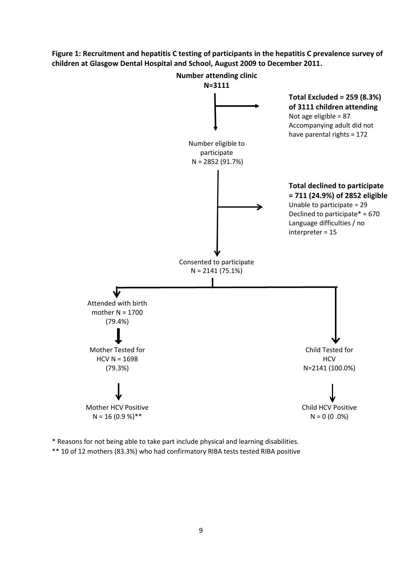**Figure 1: Recruitment and hepatitis C testing of participants in the hepatitis C prevalence survey of children at Glasgow Dental Hospital and School, August 2009 to December 2011.** 



\* Reasons for not being able to take part include physical and learning disabilities. \*\* 10 of 12 mothers (83.3%) who had confirmatory RIBA tests tested RIBA positive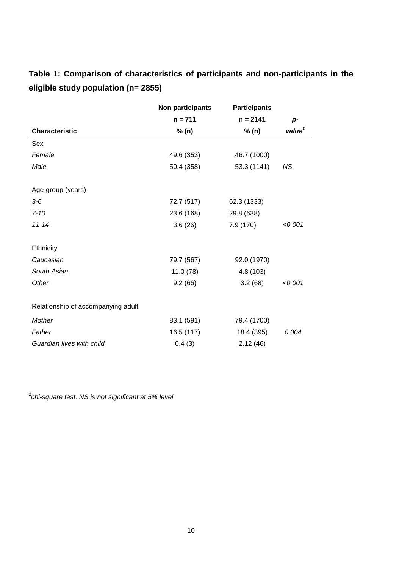**Table 1: Comparison of characteristics of participants and non-participants in the eligible study population (n= 2855)**

|                                    | Non participants | <b>Participants</b> |                    |
|------------------------------------|------------------|---------------------|--------------------|
|                                    | $n = 711$        | $n = 2141$          | p-                 |
| <b>Characteristic</b>              | % (n)            | % (n)               | value <sup>1</sup> |
| Sex                                |                  |                     |                    |
| Female                             | 49.6 (353)       | 46.7 (1000)         |                    |
| Male                               | 50.4 (358)       | 53.3 (1141)         | <b>NS</b>          |
| Age-group (years)                  |                  |                     |                    |
| $3-6$                              | 72.7 (517)       | 62.3 (1333)         |                    |
| $7 - 10$                           | 23.6 (168)       | 29.8 (638)          |                    |
| $11 - 14$                          | 3.6(26)          | 7.9 (170)           | < 0.001            |
| Ethnicity                          |                  |                     |                    |
| Caucasian                          | 79.7 (567)       | 92.0 (1970)         |                    |
| South Asian                        | 11.0 (78)        | 4.8 (103)           |                    |
| Other                              | 9.2(66)          | 3.2(68)             | < 0.001            |
| Relationship of accompanying adult |                  |                     |                    |
| Mother                             | 83.1 (591)       | 79.4 (1700)         |                    |
| Father                             | 16.5 (117)       | 18.4 (395)          | 0.004              |
| Guardian lives with child          | 0.4(3)           | 2.12(46)            |                    |

*1 chi-square test. NS is not significant at 5% level*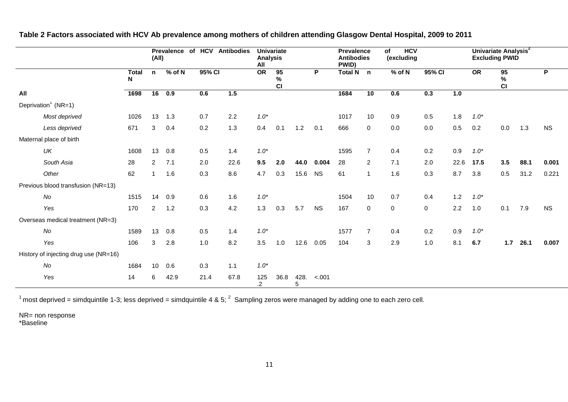|                                       | <b>Prevalence</b><br>(All) |                |                  | HCV<br><b>Antibodies</b><br>of |      | <b>Univariate</b><br><b>Analysis</b><br>All |                  |           |           | <b>Prevalence</b><br><b>Antibodies</b><br>PWID) |                | <b>HCV</b><br>$\overline{of}$<br>(excluding |        |      | Univariate Analysis <sup>2</sup><br><b>Excluding PWID</b> |                  |      |           |
|---------------------------------------|----------------------------|----------------|------------------|--------------------------------|------|---------------------------------------------|------------------|-----------|-----------|-------------------------------------------------|----------------|---------------------------------------------|--------|------|-----------------------------------------------------------|------------------|------|-----------|
|                                       | <b>Total</b><br>N          | n              | $%$ of N         | 95% CI                         |      | $\overline{OR}$                             | 95<br>$\%$<br>CI |           | P         | Total N n                                       |                | $%$ of N                                    | 95% CI |      | $\overline{OR}$                                           | 95<br>$\%$<br>CI |      | P         |
| All                                   | 1698                       | 16             | $\overline{0.9}$ | 0.6                            | 1.5  |                                             |                  |           |           | 1684                                            | 10             | 0.6                                         | 0.3    | 1.0  |                                                           |                  |      |           |
| Deprivation <sup>1</sup> (NR=1)       |                            |                |                  |                                |      |                                             |                  |           |           |                                                 |                |                                             |        |      |                                                           |                  |      |           |
| Most deprived                         | 1026                       | 13             | 1.3              | 0.7                            | 2.2  | $1.0*$                                      |                  |           |           | 1017                                            | 10             | 0.9                                         | 0.5    | 1.8  | $1.0*$                                                    |                  |      |           |
| Less deprived                         | 671                        | 3              | 0.4              | 0.2                            | 1.3  | 0.4                                         | 0.1              | 1.2       | 0.1       | 666                                             | 0              | 0.0                                         | 0.0    | 0.5  | 0.2                                                       | 0.0              | 1.3  | <b>NS</b> |
| Maternal place of birth               |                            |                |                  |                                |      |                                             |                  |           |           |                                                 |                |                                             |        |      |                                                           |                  |      |           |
| UK                                    | 1608                       | 13             | 0.8              | 0.5                            | 1.4  | $1.0*$                                      |                  |           |           | 1595                                            | $\overline{7}$ | 0.4                                         | 0.2    | 0.9  | $1.0*$                                                    |                  |      |           |
| South Asia                            | 28                         | $\overline{2}$ | 7.1              | 2.0                            | 22.6 | 9.5                                         | 2.0              | 44.0      | 0.004     | 28                                              | $\overline{2}$ | 7.1                                         | 2.0    | 22.6 | 17.5                                                      | 3.5              | 88.1 | 0.001     |
| Other                                 | 62                         | $\overline{1}$ | 1.6              | 0.3                            | 8.6  | 4.7                                         | 0.3              | 15.6      | <b>NS</b> | 61                                              | $\mathbf{1}$   | 1.6                                         | 0.3    | 8.7  | 3.8                                                       | 0.5              | 31.2 | 0.221     |
| Previous blood transfusion (NR=13)    |                            |                |                  |                                |      |                                             |                  |           |           |                                                 |                |                                             |        |      |                                                           |                  |      |           |
| No                                    | 1515                       | 14             | 0.9              | 0.6                            | 1.6  | $1.0*$                                      |                  |           |           | 1504                                            | 10             | 0.7                                         | 0.4    | 1.2  | $1.0*$                                                    |                  |      |           |
| Yes                                   | 170                        | $\overline{2}$ | 1.2              | 0.3                            | 4.2  | 1.3                                         | 0.3              | 5.7       | <b>NS</b> | 167                                             | 0              | $\mathbf 0$                                 | 0      | 2.2  | 1.0                                                       | 0.1              | 7.9  | <b>NS</b> |
| Overseas medical treatment (NR=3)     |                            |                |                  |                                |      |                                             |                  |           |           |                                                 |                |                                             |        |      |                                                           |                  |      |           |
| No                                    | 1589                       | 13             | 0.8              | 0.5                            | 1.4  | $1.0*$                                      |                  |           |           | 1577                                            | $\overline{7}$ | 0.4                                         | 0.2    | 0.9  | $1.0*$                                                    |                  |      |           |
| Yes                                   | 106                        | 3              | 2.8              | 1.0                            | 8.2  | 3.5                                         | 1.0              | 12.6      | 0.05      | 104                                             | 3              | 2.9                                         | 1.0    | 8.1  | 6.7                                                       | $1.7$            | 26.1 | 0.007     |
| History of injecting drug use (NR=16) |                            |                |                  |                                |      |                                             |                  |           |           |                                                 |                |                                             |        |      |                                                           |                  |      |           |
| No                                    | 1684                       | 10             | 0.6              | 0.3                            | 1.1  | $1.0*$                                      |                  |           |           |                                                 |                |                                             |        |      |                                                           |                  |      |           |
| Yes                                   | 14                         | 6              | 42.9             | 21.4                           | 67.8 | 125<br>$\cdot$                              | 36.8             | 428.<br>5 | $-.001$   |                                                 |                |                                             |        |      |                                                           |                  |      |           |

**Table 2 Factors associated with HCV Ab prevalence among mothers of children attending Glasgow Dental Hospital, 2009 to 2011**

 $1$  most deprived = simdquintile 1-3; less deprived = simdquintile 4 & 5;  $^2$  Sampling zeros were managed by adding one to each zero cell.

NR= non response \*Baseline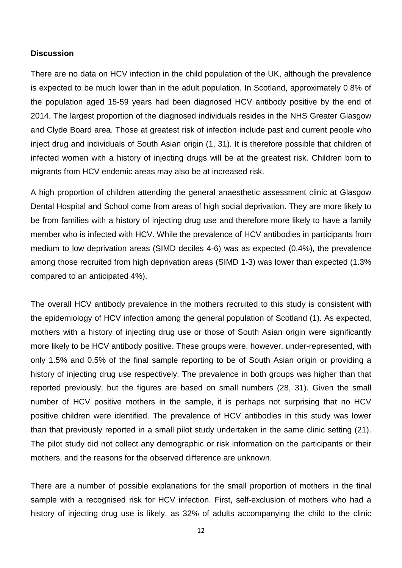# **Discussion**

There are no data on HCV infection in the child population of the UK, although the prevalence is expected to be much lower than in the adult population. In Scotland, approximately 0.8% of the population aged 15-59 years had been diagnosed HCV antibody positive by the end of 2014. The largest proportion of the diagnosed individuals resides in the NHS Greater Glasgow and Clyde Board area. Those at greatest risk of infection include past and current people who inject drug and individuals of South Asian origin [\(1,](#page-15-0) [31\)](#page-16-5). It is therefore possible that children of infected women with a history of injecting drugs will be at the greatest risk. Children born to migrants from HCV endemic areas may also be at increased risk.

A high proportion of children attending the general anaesthetic assessment clinic at Glasgow Dental Hospital and School come from areas of high social deprivation. They are more likely to be from families with a history of injecting drug use and therefore more likely to have a family member who is infected with HCV. While the prevalence of HCV antibodies in participants from medium to low deprivation areas (SIMD deciles 4-6) was as expected (0.4%), the prevalence among those recruited from high deprivation areas (SIMD 1-3) was lower than expected (1.3% compared to an anticipated 4%).

The overall HCV antibody prevalence in the mothers recruited to this study is consistent with the epidemiology of HCV infection among the general population of Scotland [\(1\)](#page-15-0). As expected, mothers with a history of injecting drug use or those of South Asian origin were significantly more likely to be HCV antibody positive. These groups were, however, under-represented, with only 1.5% and 0.5% of the final sample reporting to be of South Asian origin or providing a history of injecting drug use respectively. The prevalence in both groups was higher than that reported previously, but the figures are based on small numbers [\(28,](#page-16-2) [31\)](#page-16-5). Given the small number of HCV positive mothers in the sample, it is perhaps not surprising that no HCV positive children were identified. The prevalence of HCV antibodies in this study was lower than that previously reported in a small pilot study undertaken in the same clinic setting [\(21\)](#page-15-3). The pilot study did not collect any demographic or risk information on the participants or their mothers, and the reasons for the observed difference are unknown.

There are a number of possible explanations for the small proportion of mothers in the final sample with a recognised risk for HCV infection. First, self-exclusion of mothers who had a history of injecting drug use is likely, as 32% of adults accompanying the child to the clinic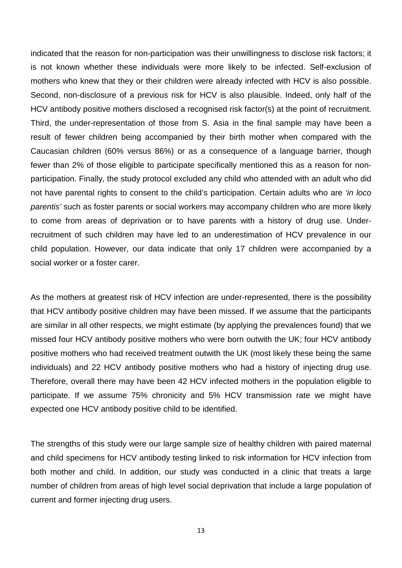indicated that the reason for non-participation was their unwillingness to disclose risk factors; it is not known whether these individuals were more likely to be infected. Self-exclusion of mothers who knew that they or their children were already infected with HCV is also possible. Second, non-disclosure of a previous risk for HCV is also plausible. Indeed, only half of the HCV antibody positive mothers disclosed a recognised risk factor(s) at the point of recruitment. Third, the under-representation of those from S. Asia in the final sample may have been a result of fewer children being accompanied by their birth mother when compared with the Caucasian children (60% versus 86%) or as a consequence of a language barrier, though fewer than 2% of those eligible to participate specifically mentioned this as a reason for nonparticipation. Finally, the study protocol excluded any child who attended with an adult who did not have parental rights to consent to the child's participation. Certain adults who are *'in loco parentis'* such as foster parents or social workers may accompany children who are more likely to come from areas of deprivation or to have parents with a history of drug use. Underrecruitment of such children may have led to an underestimation of HCV prevalence in our child population. However, our data indicate that only 17 children were accompanied by a social worker or a foster carer.

As the mothers at greatest risk of HCV infection are under-represented, there is the possibility that HCV antibody positive children may have been missed. If we assume that the participants are similar in all other respects, we might estimate (by applying the prevalences found) that we missed four HCV antibody positive mothers who were born outwith the UK; four HCV antibody positive mothers who had received treatment outwith the UK (most likely these being the same individuals) and 22 HCV antibody positive mothers who had a history of injecting drug use. Therefore, overall there may have been 42 HCV infected mothers in the population eligible to participate. If we assume 75% chronicity and 5% HCV transmission rate we might have expected one HCV antibody positive child to be identified.

The strengths of this study were our large sample size of healthy children with paired maternal and child specimens for HCV antibody testing linked to risk information for HCV infection from both mother and child. In addition, our study was conducted in a clinic that treats a large number of children from areas of high level social deprivation that include a large population of current and former injecting drug users.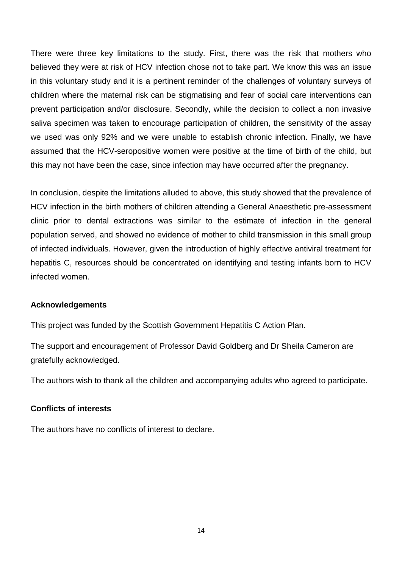There were three key limitations to the study. First, there was the risk that mothers who believed they were at risk of HCV infection chose not to take part. We know this was an issue in this voluntary study and it is a pertinent reminder of the challenges of voluntary surveys of children where the maternal risk can be stigmatising and fear of social care interventions can prevent participation and/or disclosure. Secondly, while the decision to collect a non invasive saliva specimen was taken to encourage participation of children, the sensitivity of the assay we used was only 92% and we were unable to establish chronic infection. Finally, we have assumed that the HCV-seropositive women were positive at the time of birth of the child, but this may not have been the case, since infection may have occurred after the pregnancy.

In conclusion, despite the limitations alluded to above, this study showed that the prevalence of HCV infection in the birth mothers of children attending a General Anaesthetic pre-assessment clinic prior to dental extractions was similar to the estimate of infection in the general population served, and showed no evidence of mother to child transmission in this small group of infected individuals. However, given the introduction of highly effective antiviral treatment for hepatitis C, resources should be concentrated on identifying and testing infants born to HCV infected women.

# **Acknowledgements**

This project was funded by the Scottish Government Hepatitis C Action Plan.

The support and encouragement of Professor David Goldberg and Dr Sheila Cameron are gratefully acknowledged.

The authors wish to thank all the children and accompanying adults who agreed to participate.

# **Conflicts of interests**

The authors have no conflicts of interest to declare.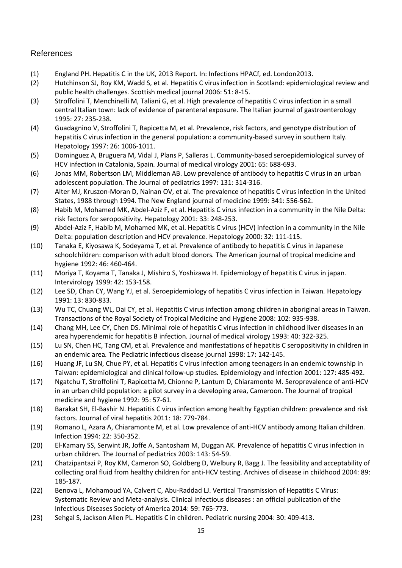# References

- <span id="page-15-0"></span>(1) England PH. Hepatitis C in the UK, 2013 Report. In: Infections HPACf, ed. London2013.
- <span id="page-15-1"></span>(2) Hutchinson SJ, Roy KM, Wadd S, et al. Hepatitis C virus infection in Scotland: epidemiological review and public health challenges*.* Scottish medical journal 2006: 51: 8-15.
- <span id="page-15-2"></span>(3) Stroffolini T, Menchinelli M, Taliani G, et al. High prevalence of hepatitis C virus infection in a small central Italian town: lack of evidence of parenteral exposure*.* The Italian journal of gastroenterology 1995: 27: 235-238.
- (4) Guadagnino V, Stroffolini T, Rapicetta M, et al. Prevalence, risk factors, and genotype distribution of hepatitis C virus infection in the general population: a community-based survey in southern Italy*.* Hepatology 1997: 26: 1006-1011.
- (5) Dominguez A, Bruguera M, Vidal J, Plans P, Salleras L. Community-based seroepidemiological survey of HCV infection in Catalonia, Spain*.* Journal of medical virology 2001: 65: 688-693.
- <span id="page-15-6"></span>(6) Jonas MM, Robertson LM, Middleman AB. Low prevalence of antibody to hepatitis C virus in an urban adolescent population*.* The Journal of pediatrics 1997: 131: 314-316.
- <span id="page-15-4"></span>(7) Alter MJ, Kruszon-Moran D, Nainan OV, et al. The prevalence of hepatitis C virus infection in the United States, 1988 through 1994*.* The New England journal of medicine 1999: 341: 556-562.
- <span id="page-15-9"></span>(8) Habib M, Mohamed MK, Abdel-Aziz F, et al. Hepatitis C virus infection in a community in the Nile Delta: risk factors for seropositivity*.* Hepatology 2001: 33: 248-253.
- <span id="page-15-10"></span>(9) Abdel-Aziz F, Habib M, Mohamed MK, et al. Hepatitis C virus (HCV) infection in a community in the Nile Delta: population description and HCV prevalence*.* Hepatology 2000: 32: 111-115.
- <span id="page-15-7"></span>(10) Tanaka E, Kiyosawa K, Sodeyama T, et al. Prevalence of antibody to hepatitis C virus in Japanese schoolchildren: comparison with adult blood donors*.* The American journal of tropical medicine and hygiene 1992: 46: 460-464.
- (11) Moriya T, Koyama T, Tanaka J, Mishiro S, Yoshizawa H. Epidemiology of hepatitis C virus in japan*.* Intervirology 1999: 42: 153-158.
- <span id="page-15-5"></span>(12) Lee SD, Chan CY, Wang YJ, et al. Seroepidemiology of hepatitis C virus infection in Taiwan*.* Hepatology 1991: 13: 830-833.
- <span id="page-15-8"></span>(13) Wu TC, Chuang WL, Dai CY, et al. Hepatitis C virus infection among children in aboriginal areas in Taiwan*.* Transactions of the Royal Society of Tropical Medicine and Hygiene 2008: 102: 935-938.
- (14) Chang MH, Lee CY, Chen DS. Minimal role of hepatitis C virus infection in childhood liver diseases in an area hyperendemic for hepatitis B infection*.* Journal of medical virology 1993: 40: 322-325.
- (15) Lu SN, Chen HC, Tang CM, et al. Prevalence and manifestations of hepatitis C seropositivity in children in an endemic area*.* The Pediatric infectious disease journal 1998: 17: 142-145.
- (16) Huang JF, Lu SN, Chue PY, et al. Hepatitis C virus infection among teenagers in an endemic township in Taiwan: epidemiological and clinical follow-up studies*.* Epidemiology and infection 2001: 127: 485-492.
- <span id="page-15-11"></span>(17) Ngatchu T, Stroffolini T, Rapicetta M, Chionne P, Lantum D, Chiaramonte M. Seroprevalence of anti-HCV in an urban child population: a pilot survey in a developing area, Cameroon*.* The Journal of tropical medicine and hygiene 1992: 95: 57-61.
- <span id="page-15-12"></span>(18) Barakat SH, El-Bashir N. Hepatitis C virus infection among healthy Egyptian children: prevalence and risk factors*.* Journal of viral hepatitis 2011: 18: 779-784.
- <span id="page-15-13"></span>(19) Romano L, Azara A, Chiaramonte M, et al. Low prevalence of anti-HCV antibody among Italian children*.* Infection 1994: 22: 350-352.
- <span id="page-15-14"></span>(20) El-Kamary SS, Serwint JR, Joffe A, Santosham M, Duggan AK. Prevalence of hepatitis C virus infection in urban children*.* The Journal of pediatrics 2003: 143: 54-59.
- <span id="page-15-3"></span>(21) Chatzipantazi P, Roy KM, Cameron SO, Goldberg D, Welbury R, Bagg J. The feasibility and acceptability of collecting oral fluid from healthy children for anti-HCV testing*.* Archives of disease in childhood 2004: 89: 185-187.
- <span id="page-15-15"></span>(22) Benova L, Mohamoud YA, Calvert C, Abu-Raddad LJ. Vertical Transmission of Hepatitis C Virus: Systematic Review and Meta-analysis*.* Clinical infectious diseases : an official publication of the Infectious Diseases Society of America 2014: 59: 765-773.
- <span id="page-15-16"></span>(23) Sehgal S, Jackson Allen PL. Hepatitis C in children*.* Pediatric nursing 2004: 30: 409-413.